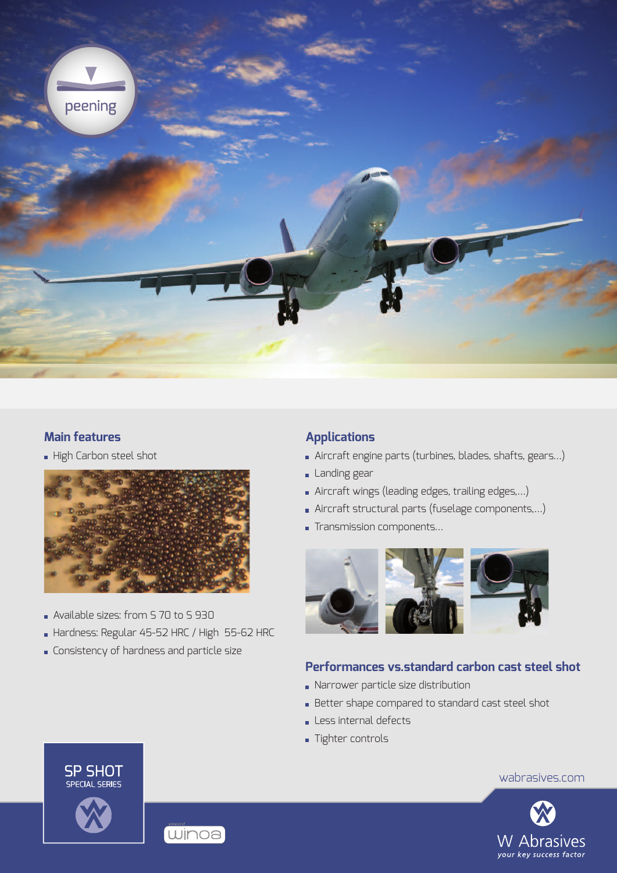

#### **Main features**

High Carbon steel shot



- Available sizes: from S 70 to S 930
- Hardness: Regular 45-52 HRC / High 55-62 HRC
- **Consistency of hardness and particle size**

## **Applications**

- Aircraft engine parts (turbines, blades, shafts, gears…)
- **Landing gear**
- Aircraft wings (leading edges, trailing edges,…)
- Aircraft structural parts (fuselage components,…)
- Transmission components...



# **Performances vs.standard carbon cast steel shot**

- Narrower particle size distribution
- Better shape compared to standard cast steel shot
- Less internal defects
- **Tighter controls**





wabrasives.com



**SP SHOT SPECIAL SERIES**